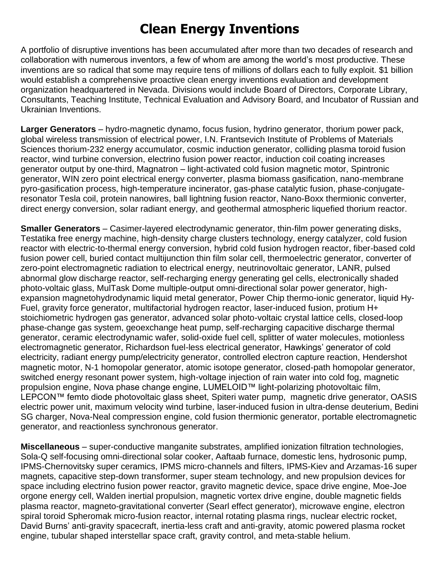## **Clean Energy Inventions**

A portfolio of disruptive inventions has been accumulated after more than two decades of research and collaboration with numerous inventors, a few of whom are among the world's most productive. These inventions are so radical that some may require tens of millions of dollars each to fully exploit. \$1 billion would establish a comprehensive proactive clean energy inventions evaluation and development organization headquartered in Nevada. Divisions would include Board of Directors, Corporate Library, Consultants, Teaching Institute, Technical Evaluation and Advisory Board, and Incubator of Russian and Ukrainian Inventions.

**Larger Generators** – hydro-magnetic dynamo, focus fusion, hydrino generator, thorium power pack, global wireless transmission of electrical power, I.N. Frantsevich Institute of Problems of Materials Sciences thorium-232 energy accumulator, cosmic induction generator, colliding plasma toroid fusion reactor, wind turbine conversion, electrino fusion power reactor, induction coil coating increases generator output by one-third, Magnatron – light-activated cold fusion magnetic motor, Spintronic generator, WIN zero point electrical energy converter, plasma biomass gasification, nano-membrane pyro-gasification process, high-temperature incinerator, gas-phase catalytic fusion, phase-conjugateresonator Tesla coil, protein nanowires, ball lightning fusion reactor, Nano-Boxx thermionic converter, direct energy conversion, solar radiant energy, and geothermal atmospheric liquefied thorium reactor.

**Smaller Generators** – Casimer-layered electrodynamic generator, thin-film power generating disks, Testatika free energy machine, high-density charge clusters technology, energy catalyzer, cold fusion reactor with electric-to-thermal energy conversion, hybrid cold fusion hydrogen reactor, fiber-based cold fusion power cell, buried contact multijunction thin film solar cell, thermoelectric generator, converter of zero-point electromagnetic radiation to electrical energy, neutrinovoltaic generator, LANR, pulsed abnormal glow discharge reactor, self-recharging energy generating gel cells, electronically shaded photo-voltaic glass, MulTask Dome multiple-output omni-directional solar power generator, highexpansion magnetohydrodynamic liquid metal generator, Power Chip thermo-ionic generator, liquid Hy-Fuel, gravity force generator, multifactorial hydrogen reactor, laser-induced fusion, protium H+ stoichiometric hydrogen gas generator, advanced solar photo-voltaic crystal lattice cells, closed-loop phase-change gas system, geoexchange heat pump, self-recharging capacitive discharge thermal generator, ceramic electrodynamic wafer, solid-oxide fuel cell, splitter of water molecules, motionless electromagnetic generator, Richardson fuel-less electrical generator, Hawkings' generator of cold electricity, radiant energy pump/electricity generator, controlled electron capture reaction, Hendershot magnetic motor, N-1 homopolar generator, atomic isotope generator, closed-path homopolar generator, switched energy resonant power system, high-voltage injection of rain water into cold fog, magnetic propulsion engine, Nova phase change engine, LUMELOID™ light-polarizing photovoltaic film, LEPCON™ femto diode photovoltaic glass sheet, Spiteri water pump, magnetic drive generator, OASIS electric power unit, maximum velocity wind turbine, laser-induced fusion in ultra-dense deuterium, Bedini SG charger, Nova-Neal compression engine, cold fusion thermionic generator, portable electromagnetic generator, and reactionless synchronous generator.

**Miscellaneous** – super-conductive manganite substrates, amplified ionization filtration technologies, Sola-Q self-focusing omni-directional solar cooker, Aaftaab furnace, domestic lens, hydrosonic pump, IPMS-Chernovitsky super ceramics, IPMS micro-channels and filters, IPMS-Kiev and Arzamas-16 super magnets, capacitive step-down transformer, super steam technology, and new propulsion devices for space including electrino fusion power reactor, gravito magnetic device, space drive engine, Moe-Joe orgone energy cell, Walden inertial propulsion, magnetic vortex drive engine, double magnetic fields plasma reactor, magneto-gravitational converter (Searl effect generator), microwave engine, electron spiral toroid Spheromak micro-fusion reactor, internal rotating plasma rings, nuclear electric rocket, David Burns' anti-gravity spacecraft, inertia-less craft and anti-gravity, atomic powered plasma rocket engine, tubular shaped interstellar space craft, gravity control, and meta-stable helium.